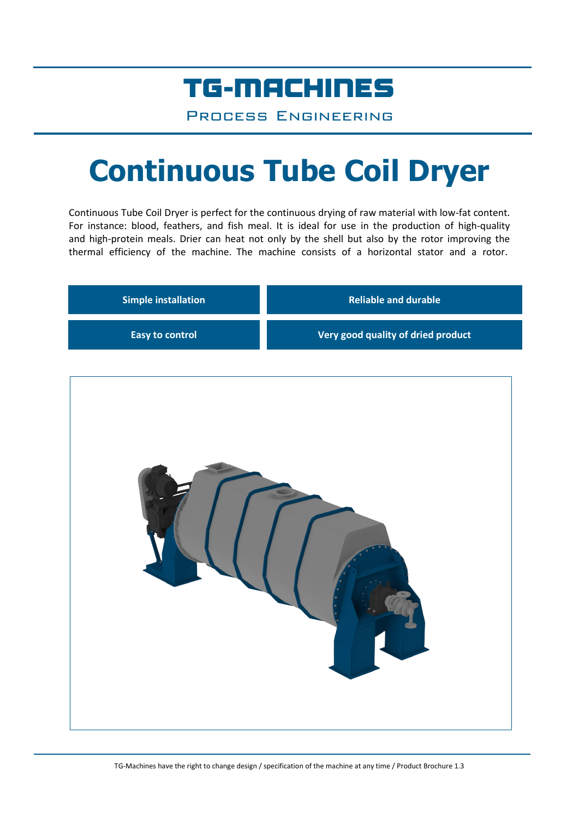### TG-MACHINES

Process Engineering

# **Continuous Tube Coil Dryer**

Continuous Tube Coil Dryer is perfect for the continuous drying of raw material with low-fat content. For instance: blood, feathers, and fish meal. It is ideal for use in the production of high-quality and high-protein meals. Drier can heat not only by the shell but also by the rotor improving the thermal efficiency of the machine. The machine consists of a horizontal stator and a rotor.

| <b>Simple installation</b> | <b>Reliable and durable</b>        |  |
|----------------------------|------------------------------------|--|
| Easy to control            | Very good quality of dried product |  |